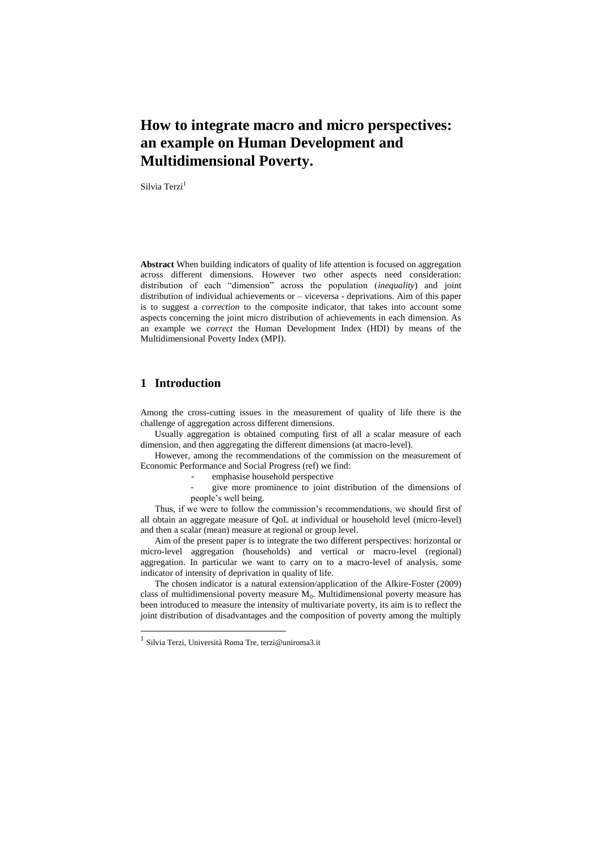# **How to integrate macro and micro perspectives: an example on Human Development and Multidimensional Poverty.**

Silvia Terzi<sup>1</sup>

**Abstract** When building indicators of quality of life attention is focused on aggregation across different dimensions. However two other aspects need consideration: distribution of each "dimension" across the population (*inequality*) and joint distribution of individual achievements or – viceversa - deprivations. Aim of this paper is to suggest a *correction* to the composite indicator, that takes into account some aspects concerning the joint micro distribution of achievements in each dimension. As an example we *correct* the Human Development Index (HDI) by means of the Multidimensional Poverty Index (MPI).

## **1 Introduction**

Among the cross-cutting issues in the measurement of quality of life there is the challenge of aggregation across different dimensions.

Usually aggregation is obtained computing first of all a scalar measure of each dimension, and then aggregating the different dimensions (at macro-level).

However, among the recommendations of the commission on the measurement of Economic Performance and Social Progress (ref) we find:

emphasise household perspective

- give more prominence to joint distribution of the dimensions of people's well being.

Thus, if we were to follow the commission's recommendations, we should first of all obtain an aggregate measure of QoL at individual or household level (micro-level) and then a scalar (mean) measure at regional or group level.

Aim of the present paper is to integrate the two different perspectives: horizontal or micro-level aggregation (households) and vertical or macro-level (regional) aggregation. In particular we want to carry on to a macro-level of analysis, some indicator of intensity of deprivation in quality of life.

The chosen indicator is a natural extension/application of the Alkire-Foster (2009) class of multidimensional poverty measure  $M_0$ . Multidimensional poverty measure has been introduced to measure the intensity of multivariate poverty, its aim is to reflect the joint distribution of disadvantages and the composition of poverty among the multiply

 1 Silvia Terzi, Università Roma Tre, terzi@uniroma3.it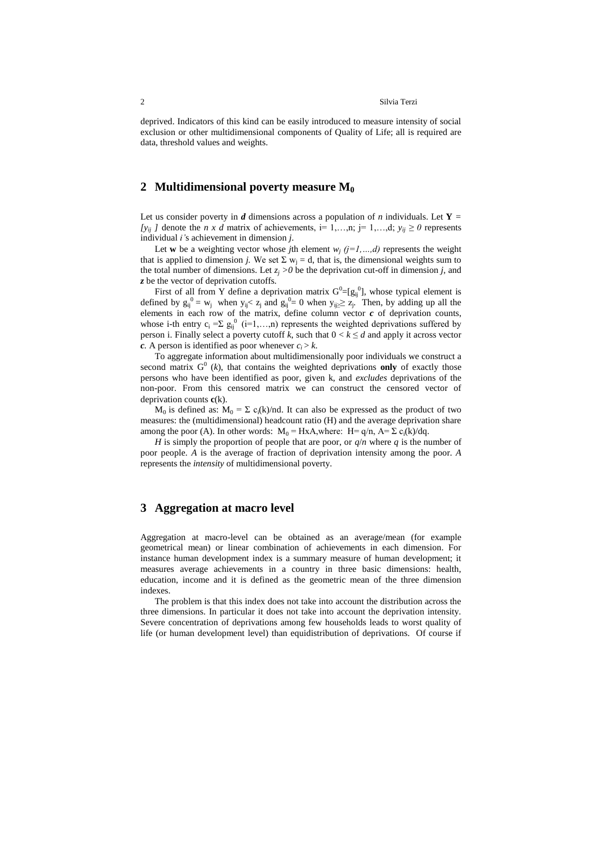#### 2 Silvia Terzi

deprived. Indicators of this kind can be easily introduced to measure intensity of social exclusion or other multidimensional components of Quality of Life; all is required are data, threshold values and weights.

#### **2 Multidimensional poverty measure M<sup>0</sup>**

Let us consider poverty in *d* dimensions across a population of *n* individuals. Let **Y** = *[y<sub>ii</sub> ]* denote the *n x d* matrix of achievements, i= 1,…,n; j= 1,…,d;  $y_{ii} \ge 0$  represents individual *i'*s achievement in dimension *j*.

Let **w** be a weighting vector whose *j*th element  $w_j$  ( $j=1,...,d$ ) represents the weight that is applied to dimension *j*. We set  $\Sigma w_i = d$ , that is, the dimensional weights sum to the total number of dimensions. Let  $z_j > 0$  be the deprivation cut-off in dimension *j*, and *z* be the vector of deprivation cutoffs.

First of all from Y define a deprivation matrix  $G^0 = [g_{ij}^0]$ , whose typical element is defined by  $g_{ij}^0 = w_j$  when  $y_{ij} < z_j$  and  $g_{ij}^0 = 0$  when  $y_{ij} \ge z_j$ . Then, by adding up all the elements in each row of the matrix, define column vector  $c$  of deprivation counts, whose i-th entry  $c_i = \sum g_{ij}^{0}$  (i=1,...,n) represents the weighted deprivations suffered by person i. Finally select a poverty cutoff k, such that  $0 < k \le d$  and apply it across vector *c.* A person is identified as poor whenever  $c_i > k$ .

To aggregate information about multidimensionally poor individuals we construct a second matrix  $G^0$  ( $k$ ), that contains the weighted deprivations only of exactly those persons who have been identified as poor, given k, and *excludes* deprivations of the non-poor. From this censored matrix we can construct the censored vector of deprivation counts **c**(k).

 $M_0$  is defined as:  $M_0 = \Sigma c_i(k)/nd$ . It can also be expressed as the product of two measures: the (multidimensional) headcount ratio (H) and the average deprivation share among the poor (A). In other words:  $M_0 = HxA$ , where:  $H = q/n$ ,  $A = \sum c_i(k)/dq$ .

*H* is simply the proportion of people that are poor, or  $q/n$  where q is the number of poor people. *A* is the average of fraction of deprivation intensity among the poor*. A*  represents the *intensity* of multidimensional poverty.

#### **3 Aggregation at macro level**

Aggregation at macro-level can be obtained as an average/mean (for example geometrical mean) or linear combination of achievements in each dimension. For instance human development index is a summary measure of human development; it measures average achievements in a country in three basic dimensions: health, education, income and it is defined as the geometric mean of the three dimension indexes.

The problem is that this index does not take into account the distribution across the three dimensions. In particular it does not take into account the deprivation intensity. Severe concentration of deprivations among few households leads to worst quality of life (or human development level) than equidistribution of deprivations. Of course if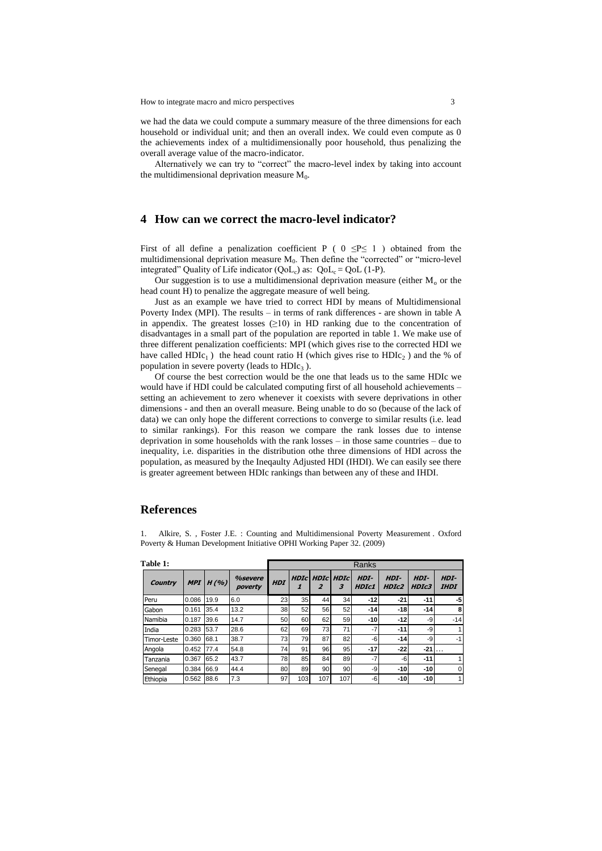How to integrate macro and micro perspectives 3

we had the data we could compute a summary measure of the three dimensions for each household or individual unit; and then an overall index. We could even compute as 0 the achievements index of a multidimensionally poor household, thus penalizing the overall average value of the macro-indicator.

Alternatively we can try to "correct" the macro-level index by taking into account the multidimensional deprivation measure  $M_0$ .

### **4 How can we correct the macro-level indicator?**

First of all define a penalization coefficient P (  $0 \le P \le 1$  ) obtained from the multidimensional deprivation measure  $M_0$ . Then define the "corrected" or "micro-level integrated" Quality of Life indicator  $(QoL_c)$  as:  $QoL_c = QoL$  (1-P).

Our suggestion is to use a multidimensional deprivation measure (either  $M_0$  or the head count H) to penalize the aggregate measure of well being.

Just as an example we have tried to correct HDI by means of Multidimensional Poverty Index (MPI). The results – in terms of rank differences - are shown in table A in appendix. The greatest losses  $(≥10)$  in HD ranking due to the concentration of disadvantages in a small part of the population are reported in table 1. We make use of three different penalization coefficients: MPI (which gives rise to the corrected HDI we have called HDIc<sub>1</sub>) the head count ratio H (which gives rise to  $HDL<sub>2</sub>$ ) and the % of population in severe poverty (leads to  $H D I c<sub>3</sub>$ ).

Of course the best correction would be the one that leads us to the same HDIc we would have if HDI could be calculated computing first of all household achievements – setting an achievement to zero whenever it coexists with severe deprivations in other dimensions - and then an overall measure. Being unable to do so (because of the lack of data) we can only hope the different corrections to converge to similar results (i.e. lead to similar rankings). For this reason we compare the rank losses due to intense deprivation in some households with the rank losses – in those same countries – due to inequality, i.e. disparities in the distribution othe three dimensions of HDI across the population, as measured by the Ineqaulty Adjusted HDI (IHDI). We can easily see there is greater agreement between HDIc rankings than between any of these and IHDI.

#### **References**

1. Alkire, S. , Foster J.E. : Counting and Multidimensional Poverty Measurement . Oxford Poverty & Human Development Initiative OPHI Working Paper 32. (2009)

| Table 1:       |            |      |                    | Ranks      |                   |     |                       |                      |               |               |                     |
|----------------|------------|------|--------------------|------------|-------------------|-----|-----------------------|----------------------|---------------|---------------|---------------------|
| <b>Country</b> | <b>MPI</b> | H(%) | %severe<br>poverty | <b>HDI</b> | <b>HDIcl</b><br>1 | 2   | <b>HDIC HDIC</b><br>3 | HDI-<br><b>HDIc1</b> | HDI-<br>HDIc2 | HDI-<br>HDIc3 | HDI-<br><b>IHDI</b> |
| Peru           | 0.086      | 19.9 | 6.0                | 23         | 35                | 44  | 34                    | $-12$                | $-21$         | $-11$         | $-5$                |
| Gabon          | 0.161      | 35.4 | 13.2               | 38         | 52                | 56  | 52                    | $-14$                | $-18$         | $-14$         | 8                   |
| Namibia        | 0.187      | 39.6 | 14.7               | 50         | 60                | 62  | 59                    | $-10$                | $-12$         | -9            | $-14$               |
| India          | 0.283      | 53.7 | 28.6               | 62         | 69                | 73  | 71                    | $-7$                 | $-11$         | -9            |                     |
| Timor-Leste    | 0.360      | 68.1 | 38.7               | 73         | 79                | 87  | 82                    | -6                   | $-14$         | -9            |                     |
| Angola         | 0.452      | 77.4 | 54.8               | 74         | 91                | 96  | 95                    | $-17$                | $-22$         | $-21$         | .                   |
| Tanzania       | 0.367      | 65.2 | 43.7               | 78         | 85                | 84  | 89                    | $-7$                 | -6            | $-11$         |                     |
| Senegal        | 0.384      | 66.9 | 44.4               | 80         | 89                | 90  | 90                    | -9                   | $-10$         | $-10$         |                     |
| Ethiopia       | 0.562      | 88.6 | 7.3                | 97         | 103               | 107 | 107                   | -6                   | $-10$         | $-10$         |                     |

**Table 1:**